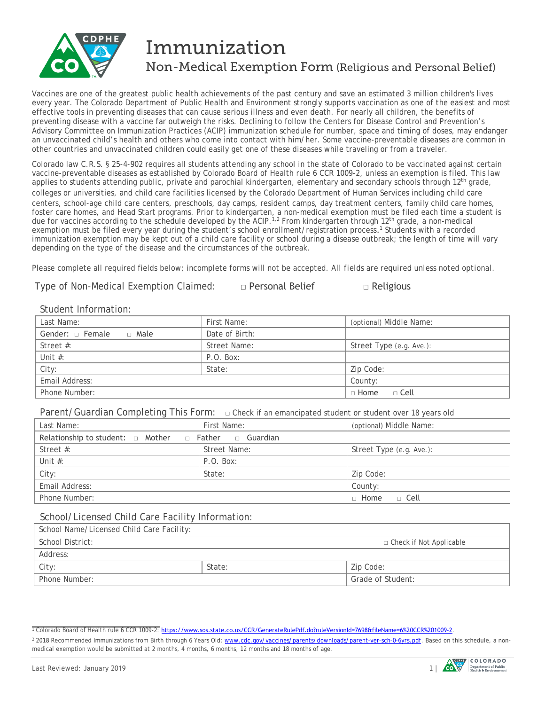

# Immunization Non-Medical Exemption Form (Religious and Personal Belief)

Vaccines are one of the greatest public health achievements of the past century and save an estimated 3 million children's lives every year. The Colorado Department of Public Health and Environment strongly supports vaccination as one of the easiest and most effective tools in preventing diseases that can cause serious illness and even death. For nearly all children, the benefits of preventing disease with a vaccine far outweigh the risks. Declining to follow the Centers for Disease Control and Prevention's Advisory Committee on Immunization Practices (ACIP) immunization schedule for number, space and timing of doses, may endanger an unvaccinated child's health and others who come into contact with him/her. Some vaccine-preventable diseases are common in other countries and unvaccinated children could easily get one of these diseases while traveling or from a traveler.

Colorado law C.R.S. § 25-4-902 requires all students attending any school in the state of Colorado to be vaccinated against certain vaccine-preventable diseases as established by Colorado Board of Health rule 6 CCR 1009-2, unless an exemption is filed. This law applies to students attending public, private and parochial kindergarten, elementary and secondary schools through 12<sup>th</sup> grade, colleges or universities, and child care facilities licensed by the Colorado Department of Human Services including child care centers, school-age child care centers, preschools, day camps, resident camps, day treatment centers, family child care homes, foster care homes, and Head Start programs. Prior to kindergarten, a non-medical exemption must be filed each time a student is due for vaccines according to the schedule developed by the ACIP.<sup>[1,](#page-0-0)[2](#page-0-1)</sup> From kindergarten through 12<sup>th</sup> grade, a non-medical exemption must be filed every year during the student's school enrollment/registration process.<sup>1</sup> Students with a recorded immunization exemption may be kept out of a child care facility or school during a disease outbreak; the length of time will vary depending on the type of the disease and the circumstances of the outbreak.

Please complete all required fields below; incomplete forms will not be accepted. *All fields are required unless noted optional.*

Type of Non-Medical Exemption Claimed: □ Personal Belief □ Religious

### Student Information:

| 1.11111                         |                |                          |  |  |
|---------------------------------|----------------|--------------------------|--|--|
| Last Name:                      | First Name:    | (optional) Middle Name:  |  |  |
| Gender: $\Box$ Female<br>∩ Male | Date of Birth: |                          |  |  |
| Street $#$ :                    | Street Name:   | Street Type (e.g. Ave.): |  |  |
| Unit $#$ :                      | P.O. Box:      |                          |  |  |
| City:                           | State:         | Zip Code:                |  |  |
| Email Address:                  |                | County:                  |  |  |
| Phone Number:                   |                | $\Box$ Home<br>□ Cell    |  |  |

Parent/Guardian Completing This Form: **□** Check if an emancipated student or student over 18 years old

| Last Name:                                                           | First Name:  | (optional) Middle Name:  |  |  |
|----------------------------------------------------------------------|--------------|--------------------------|--|--|
| Relationship to student: $\Box$ Mother $\Box$ Father $\Box$ Guardian |              |                          |  |  |
| Street $#$ :                                                         | Street Name: | Street Type (e.g. Ave.): |  |  |
| Unit $#$ :                                                           | P.O. Box:    |                          |  |  |
| City:                                                                | State:       | Zip Code:                |  |  |
| Email Address:                                                       |              | County:                  |  |  |
| Phone Number:                                                        |              | $\Box$ Home<br>e Cell ⊑  |  |  |

#### School/Licensed Child Care Facility Information:

| School Name/Licensed Child Care Facility: |        |                           |  |  |
|-------------------------------------------|--------|---------------------------|--|--|
| School District:                          |        | □ Check if Not Applicable |  |  |
| Address:                                  |        |                           |  |  |
| City:                                     | State: | Zip Code:                 |  |  |
| Phone Number:                             |        | Grade of Student:         |  |  |
|                                           |        |                           |  |  |

<sup>1</sup> Colorado Board of Health rule 6 CCR 1009-2: <https://www.sos.state.co.us/CCR/GenerateRulePdf.do?ruleVersionId=7698&fileName=6%20CCR%201009-2>[.](http://www.sos.state.co.us/CCR/GenerateRulePdf.do?ruleVersionId=7223&fileName=6%20CCR%201009-2)



<span id="page-0-1"></span><span id="page-0-0"></span><sup>&</sup>lt;sup>2</sup> 2018 Recommended Immunizations from Birth through 6 Years Old: [www.cdc.gov/vaccines/parents/downloads/parent-ver-sch-0-6yrs.pdf.](http://www.cdc.gov/vaccines/parents/downloads/parent-ver-sch-0-6yrs.pdf) Based on this schedule, a nonmedical exemption would be submitted at 2 months, 4 months, 6 months, 12 months and 18 months of age.